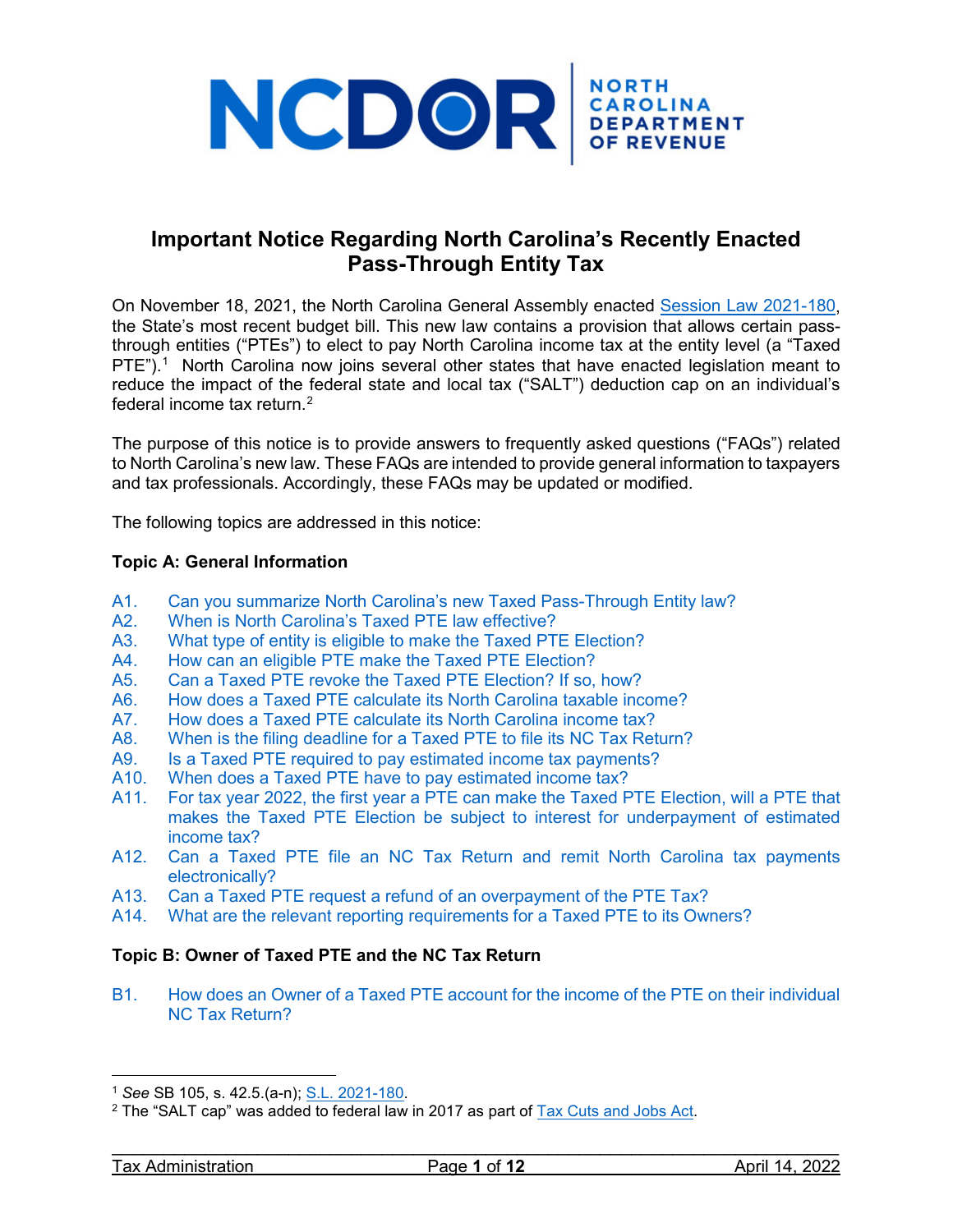

## **Important Notice Regarding North Carolina's Recently Enacted Pass-Through Entity Tax**

On November 18, 2021, the North Carolina General Assembly enacted [Session Law 2021-180,](https://www.ncleg.gov/Sessions/2021/Bills/Senate/PDF/S105v8.pdf) the State's most recent budget bill. This new law contains a provision that allows certain passthrough entities ("PTEs") to elect to pay North Carolina income tax at the entity level (a "Taxed PTE").<sup>[1](#page-0-0)</sup> North Carolina now joins several other states that have enacted legislation meant to reduce the impact of the federal state and local tax ("SALT") deduction cap on an individual's federal income tax return. [2](#page-0-1)

The purpose of this notice is to provide answers to frequently asked questions ("FAQs") related to North Carolina's new law. These FAQs are intended to provide general information to taxpayers and tax professionals. Accordingly, these FAQs may be updated or modified.

The following topics are addressed in this notice:

### **Topic A: General Information**

- A1. [Can you summarize North Carolina's new Taxed Pass-Through Entity law?](#page-1-0)
- A2. [When is North Carolina's Taxed PTE law effective?](#page-2-0)
- A3. [What type of entity is eligible to make the Taxed PTE Election?](#page-2-1)
- A4. [How can an eligible PTE make the Taxed PTE Election?](#page-2-2)
- A5. [Can a Taxed PTE revoke the Taxed PTE Election? If so, how?](#page-3-0)
- A6. [How does a Taxed PTE calculate its North Carolina taxable income?](#page-3-1)
- A7. [How does a Taxed PTE calculate its North Carolina income tax?](#page-4-0)<br>A8. When is the filing deadline for a Taxed PTE to file its NC Tax Ret
- [When is the filing deadline for a Taxed PTE to file its NC Tax Return?](#page-4-1)
- A9. [Is a Taxed PTE required to pay estimated income tax payments?](#page-4-2)
- A10. [When does a Taxed PTE have to pay estimated income tax?](#page-4-3)
- A11. [For tax year 2022, the first year a PTE can make the Taxed PTE Election, will a PTE that](#page-5-0)  [makes the Taxed PTE Election be subject to interest for underpayment of estimated](#page-5-0)  [income tax?](#page-5-0)
- A12. [Can a Taxed PTE file an NC Tax Return and remit North Carolina tax payments](#page-5-1)  [electronically?](#page-5-1)
- A13. [Can a Taxed PTE request a refund of an overpayment of the PTE Tax?](#page-5-2)
- A14. [What are the relevant reporting requirements for a Taxed PTE to its Owners?](#page-5-3)

## **Topic B: Owner of Taxed PTE and the NC Tax Return**

B1. How does [an Owner of a Taxed PTE account for the income of the PTE](#page-6-0) on their individual [NC Tax Return?](#page-6-0)

<span id="page-0-0"></span><sup>1</sup> *See* SB 105, s. 42.5.(a-n); [S.L. 2021-180.](https://ncleg.gov/EnactedLegislation/SessionLaws/PDF/2021-2022/SL2021-180.pdf)

<span id="page-0-1"></span> $2$  The "SALT cap" was added to federal law in 2017 as part of  $\overline{Iax}$  Cuts and Jobs Act.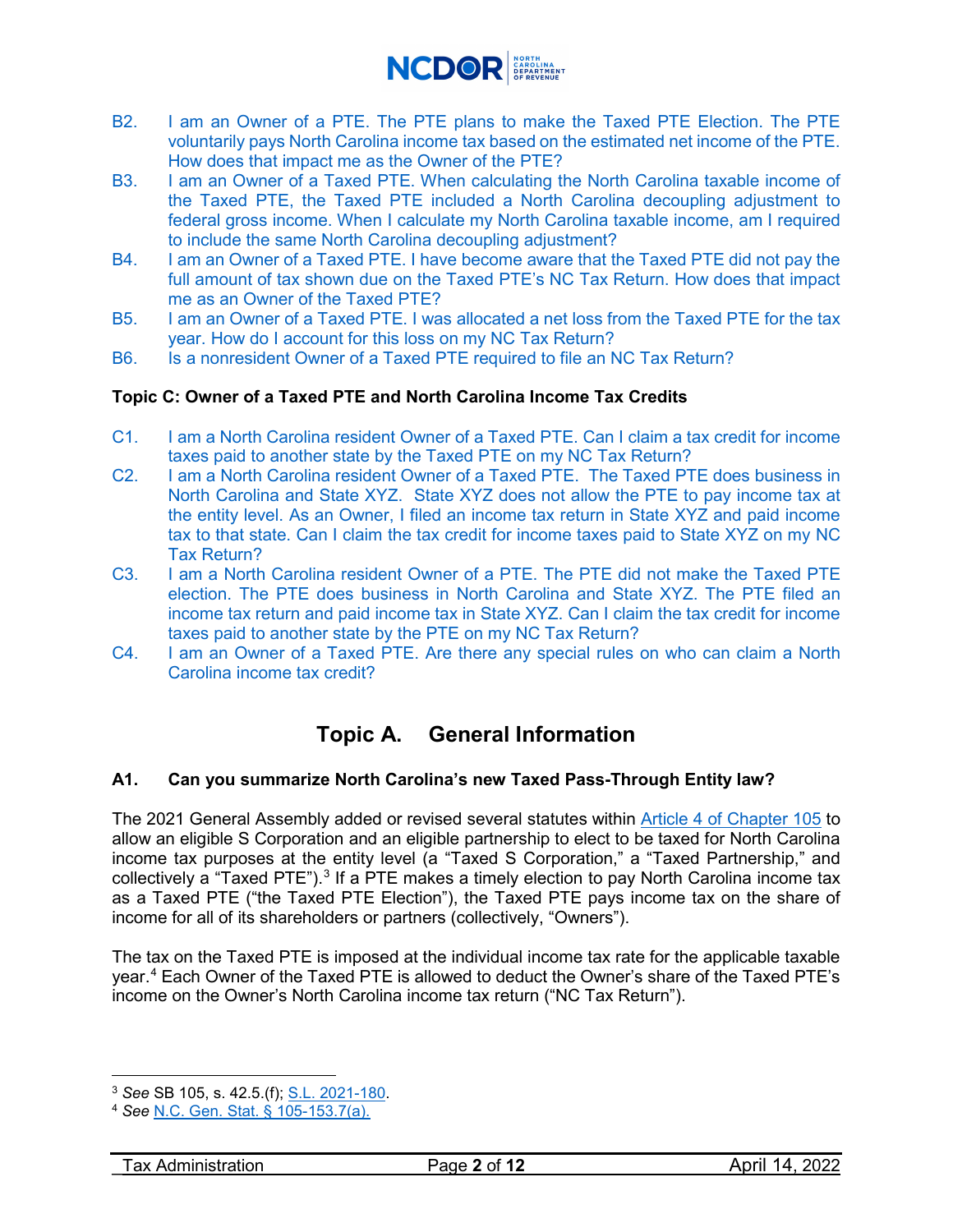

- B2. [I am an Owner of a PTE. The PTE plans to make the Taxed PTE Election. The PTE](#page-6-1)  [voluntarily pays North Carolina income tax based on the estimated net income of the PTE.](#page-6-1)  [How does that impact me as the Owner of the PTE?](#page-6-1)
- B3. [I am an Owner of a Taxed PTE. When calculating the North Carolina taxable income of](#page-6-2)  [the Taxed PTE, the Taxed PTE included a North Carolina decoupling adjustment to](#page-6-2)  [federal gross income. When I calculate my North Carolina taxable income, am I required](#page-6-2)  [to include the same North Carolina decoupling adjustment?](#page-6-2)
- B4. [I am an Owner of a Taxed PTE. I have become aware that the Taxed PTE did not pay the](#page-7-0)  [full amount of tax shown due on the Taxed PTE's NC Tax Return. How does that impact](#page-7-0)  [me as an Owner of the Taxed PTE?](#page-7-0)
- B5. [I am an Owner of a Taxed PTE. I was allocated a net loss from the Taxed PTE for the tax](#page-7-1)  [year. How do I account for this loss on my NC Tax Return?](#page-7-1)
- B6. [Is a nonresident Owner of a Taxed PTE required to file an NC Tax Return?](#page-7-2)

## **Topic C: Owner of a Taxed PTE and North Carolina Income Tax Credits**

- C1. [I am a North Carolina resident Owner of a Taxed PTE. Can I claim a tax credit](#page-8-0) for income [taxes paid to another state by the Taxed PTE](#page-8-0) on my NC Tax Return?
- C2. [I am a North Carolina resident Owner of a Taxed PTE. The Taxed PTE does business in](#page-9-0)  North [Carolina and State XYZ. State XYZ does not allow the PTE to pay income tax at](#page-9-0)  [the entity level. As an Owner, I filed an income tax return in State XYZ and paid income](#page-9-0)  [tax to that state. Can I claim the tax credit for income taxes paid to State XYZ on my NC](#page-9-0)  [Tax Return?](#page-9-0)
- C3. [I am a North Carolina resident Owner of a PTE. The PTE did not make the Taxed PTE](#page-9-1)  [election. The PTE does business in North Carolina and State XYZ. The PTE filed an](#page-9-1)  [income tax return and paid income tax in State XYZ. Can I claim the tax credit for income](#page-9-1)  [taxes paid to another state by the PTE on my NC Tax Return?](#page-9-1)
- C4. [I am an Owner of a Taxed PTE. Are there any special rules on who can claim a North](#page-10-0)  [Carolina income tax credit?](#page-10-0)

# **Topic A. General Information**

## <span id="page-1-0"></span>**A1. Can you summarize North Carolina's new Taxed Pass-Through Entity law?**

The 2021 General Assembly added or revised several statutes within [Article 4 of Chapter 105](https://www.ncleg.gov/enactedlegislation/statutes/html/byarticle/chapter_105/article_4.html) to allow an eligible S Corporation and an eligible partnership to elect to be taxed for North Carolina income tax purposes at the entity level (a "Taxed S Corporation," a "Taxed Partnership," and collectively a "Taxed PTE").<sup>[3](#page-1-1)</sup> If a PTE makes a timely election to pay North Carolina income tax as a Taxed PTE ("the Taxed PTE Election"), the Taxed PTE pays income tax on the share of income for all of its shareholders or partners (collectively, "Owners").

The tax on the Taxed PTE is imposed at the individual income tax rate for the applicable taxable year. [4](#page-1-2) Each Owner of the Taxed PTE is allowed to deduct the Owner's share of the Taxed PTE's income on the Owner's North Carolina income tax return ("NC Tax Return").

<span id="page-1-1"></span><sup>3</sup> *See* SB 105, s. 42.5.(f); [S.L. 2021-180.](https://ncleg.gov/EnactedLegislation/SessionLaws/PDF/2021-2022/SL2021-180.pdf)

<span id="page-1-2"></span><sup>4</sup> *See* [N.C. Gen. Stat. § 105-153.7\(a\).](https://www.ncleg.gov/EnactedLegislation/Statutes/HTML/BySection/Chapter_105/GS_105-153.7.html)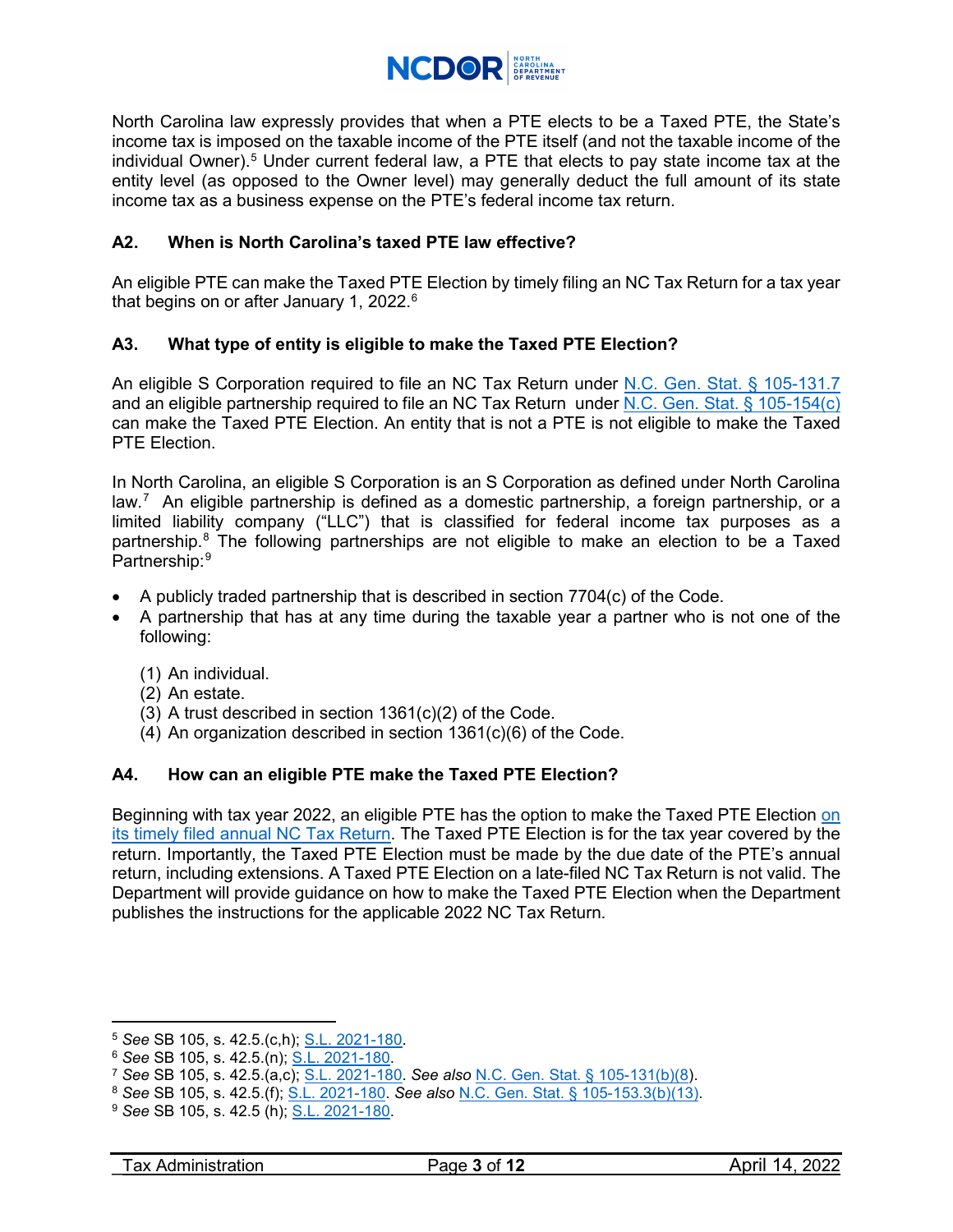

North Carolina law expressly provides that when a PTE elects to be a Taxed PTE, the State's income tax is imposed on the taxable income of the PTE itself (and not the taxable income of the individual Owner). $^5$  $^5$  Under current federal law, a PTE that elects to pay state income tax at the entity level (as opposed to the Owner level) may generally deduct the full amount of its state income tax as a business expense on the PTE's federal income tax return.

## <span id="page-2-0"></span>**A2. When is North Carolina's taxed PTE law effective?**

An eligible PTE can make the Taxed PTE Election by timely filing an NC Tax Return for a tax year that begins on or after January 1, 2022.<sup>6</sup>

## <span id="page-2-1"></span>**A3. What type of entity is eligible to make the Taxed PTE Election?**

An eligible S Corporation required to file an NC Tax Return under [N.C. Gen. Stat. § 105-131.7](https://www.ncleg.gov/EnactedLegislation/Statutes/HTML/BySection/Chapter_105/GS_105-131.7.html) and an eligible partnership required to file an NC Tax Return under [N.C. Gen. Stat. § 105-154\(c\)](https://www.ncleg.gov/EnactedLegislation/Statutes/HTML/BySection/Chapter_105/GS_105-154.html) can make the Taxed PTE Election. An entity that is not a PTE is not eligible to make the Taxed PTE Election.

In North Carolina, an eligible S Corporation is an S Corporation as defined under North Carolina law.<sup>[7](#page-2-5)</sup> An eligible partnership is defined as a domestic partnership, a foreign partnership, or a limited liability company ("LLC") that is classified for federal income tax purposes as a partnership. [8](#page-2-6) The following partnerships are not eligible to make an election to be a Taxed Partnership: [9](#page-2-7)

- A publicly traded partnership that is described in section 7704(c) of the Code.
- A partnership that has at any time during the taxable year a partner who is not one of the following:
	- (1) An individual.
	- (2) An estate.
	- (3) A trust described in section 1361(c)(2) of the Code.
	- (4) An organization described in section 1361(c)(6) of the Code.

## <span id="page-2-2"></span>**A4. How can an eligible PTE make the Taxed PTE Election?**

Beginning with tax year 2022, an eligible PTE has the option to make the Taxed PTE Election [on](#page-4-1)  [its timely filed annual NC Tax Return.](#page-4-1) The Taxed PTE Election is for the tax year covered by the return. Importantly, the Taxed PTE Election must be made by the due date of the PTE's annual return, including extensions. A Taxed PTE Election on a late-filed NC Tax Return is not valid. The Department will provide guidance on how to make the Taxed PTE Election when the Department publishes the instructions for the applicable 2022 NC Tax Return.

<span id="page-2-3"></span><sup>5</sup> *See* SB 105, s. 42.5.(c,h); [S.L. 2021-180.](https://ncleg.gov/EnactedLegislation/SessionLaws/PDF/2021-2022/SL2021-180.pdf)

<span id="page-2-4"></span><sup>6</sup> *See* SB 105, s. 42.5.(n); [S.L. 2021-180.](https://ncleg.gov/EnactedLegislation/SessionLaws/PDF/2021-2022/SL2021-180.pdf)

<sup>7</sup> *See* SB 105, s. 42.5.(a,c); [S.L. 2021-180.](https://ncleg.gov/EnactedLegislation/SessionLaws/PDF/2021-2022/SL2021-180.pdf) *See also* [N.C. Gen. Stat. § 105-131\(b\)\(8\)](https://www.ncleg.gov/EnactedLegislation/Statutes/HTML/BySection/Chapter_105/GS_105-131.html).

<span id="page-2-6"></span><span id="page-2-5"></span><sup>8</sup> *See* SB 105, s. 42.5.(f); [S.L. 2021-180.](https://ncleg.gov/EnactedLegislation/SessionLaws/PDF/2021-2022/SL2021-180.pdf) *See also* [N.C. Gen. Stat. § 105-153.3\(b\)\(13\).](https://www.ncleg.gov/EnactedLegislation/Statutes/HTML/BySection/Chapter_105/GS_105-153.3.html)

<span id="page-2-7"></span><sup>9</sup> *See* SB 105, s. 42.5 (h); [S.L. 2021-180.](https://ncleg.gov/EnactedLegislation/SessionLaws/PDF/2021-2022/SL2021-180.pdf)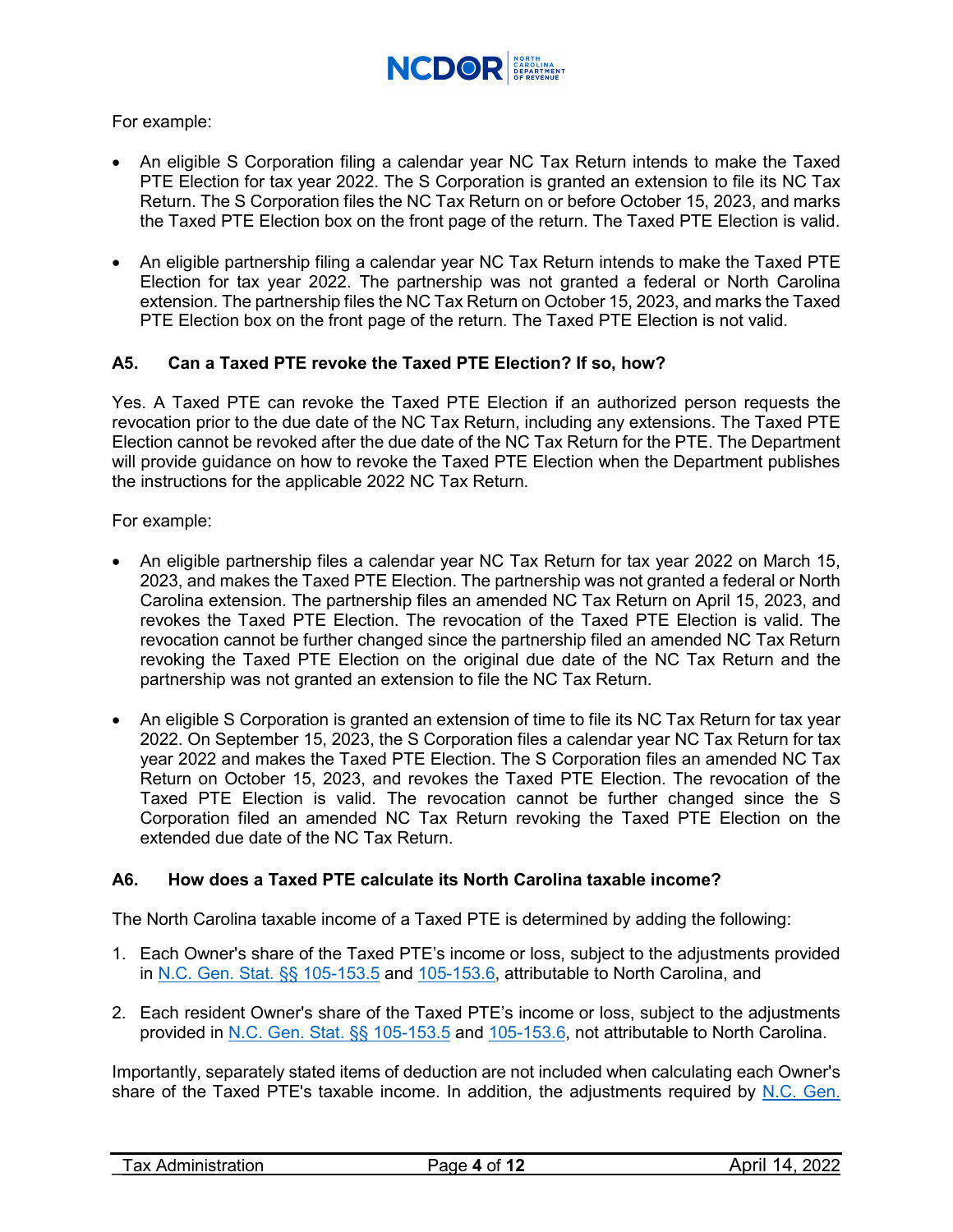

### For example:

- An eligible S Corporation filing a calendar year NC Tax Return intends to make the Taxed PTE Election for tax year 2022. The S Corporation is granted an extension to file its NC Tax Return. The S Corporation files the NC Tax Return on or before October 15, 2023, and marks the Taxed PTE Election box on the front page of the return. The Taxed PTE Election is valid.
- An eligible partnership filing a calendar year NC Tax Return intends to make the Taxed PTE Election for tax year 2022. The partnership was not granted a federal or North Carolina extension. The partnership files the NC Tax Return on October 15, 2023, and marks the Taxed PTE Election box on the front page of the return. The Taxed PTE Election is not valid.

### <span id="page-3-0"></span>**A5. Can a Taxed PTE revoke the Taxed PTE Election? If so, how?**

Yes. A Taxed PTE can revoke the Taxed PTE Election if an authorized person requests the revocation prior to the due date of the NC Tax Return, including any extensions. The Taxed PTE Election cannot be revoked after the due date of the NC Tax Return for the PTE. The Department will provide guidance on how to revoke the Taxed PTE Election when the Department publishes the instructions for the applicable 2022 NC Tax Return.

For example:

- An eligible partnership files a calendar year NC Tax Return for tax year 2022 on March 15, 2023, and makes the Taxed PTE Election. The partnership was not granted a federal or North Carolina extension. The partnership files an amended NC Tax Return on April 15, 2023, and revokes the Taxed PTE Election. The revocation of the Taxed PTE Election is valid. The revocation cannot be further changed since the partnership filed an amended NC Tax Return revoking the Taxed PTE Election on the original due date of the NC Tax Return and the partnership was not granted an extension to file the NC Tax Return.
- An eligible S Corporation is granted an extension of time to file its NC Tax Return for tax year 2022. On September 15, 2023, the S Corporation files a calendar year NC Tax Return for tax year 2022 and makes the Taxed PTE Election. The S Corporation files an amended NC Tax Return on October 15, 2023, and revokes the Taxed PTE Election. The revocation of the Taxed PTE Election is valid. The revocation cannot be further changed since the S Corporation filed an amended NC Tax Return revoking the Taxed PTE Election on the extended due date of the NC Tax Return.

## <span id="page-3-1"></span>**A6. How does a Taxed PTE calculate its North Carolina taxable income?**

The North Carolina taxable income of a Taxed PTE is determined by adding the following:

- 1. Each Owner's share of the Taxed PTE's income or loss, subject to the adjustments provided in [N.C. Gen. Stat. §§ 105-153.5](https://www.ncleg.gov/EnactedLegislation/Statutes/HTML/BySection/Chapter_105/GS_105-153.5.html) and [105-153.6,](https://www.ncleg.gov/EnactedLegislation/Statutes/HTML/BySection/Chapter_105/GS_105-153.6.html) attributable to North Carolina, and
- 2. Each resident Owner's share of the Taxed PTE's income or loss, subject to the adjustments provided in [N.C. Gen. Stat. §§ 105-153.5](https://www.ncleg.gov/EnactedLegislation/Statutes/HTML/BySection/Chapter_105/GS_105-153.5.html) and [105-153.6,](https://www.ncleg.gov/EnactedLegislation/Statutes/HTML/BySection/Chapter_105/GS_105-153.6.html) not attributable to North Carolina.

Importantly, separately stated items of deduction are not included when calculating each Owner's share of the Taxed PTE's taxable income. In addition, the adjustments required by [N.C. Gen.](https://www.ncleg.gov/EnactedLegislation/Statutes/HTML/BySection/Chapter_105/GS_105-153.5.html)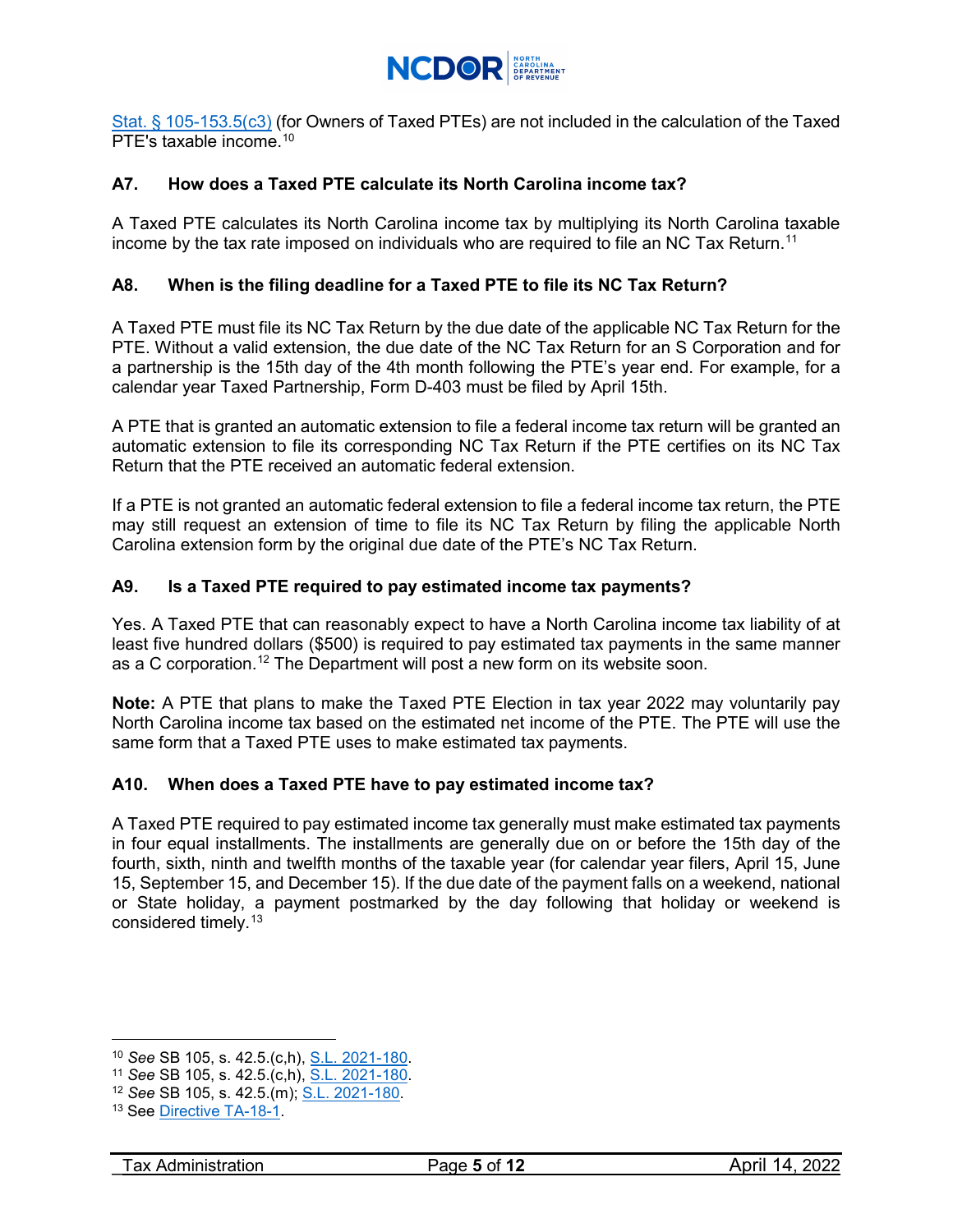

Stat. § [105-153.5\(c3\)](https://www.ncleg.gov/EnactedLegislation/Statutes/HTML/BySection/Chapter_105/GS_105-153.5.html) (for Owners of Taxed PTEs) are not included in the calculation of the Taxed PTF's taxable income.<sup>[10](#page-4-4)</sup>

## <span id="page-4-0"></span>**A7. How does a Taxed PTE calculate its North Carolina income tax?**

A Taxed PTE calculates its North Carolina income tax by multiplying its North Carolina taxable income by the tax rate imposed on individuals who are required to file an NC Tax Return. $^{\rm 11}$  $^{\rm 11}$  $^{\rm 11}$ 

## <span id="page-4-1"></span>**A8. When is the filing deadline for a Taxed PTE to file its NC Tax Return?**

A Taxed PTE must file its NC Tax Return by the due date of the applicable NC Tax Return for the PTE. Without a valid extension, the due date of the NC Tax Return for an S Corporation and for a partnership is the 15th day of the 4th month following the PTE's year end. For example, for a calendar year Taxed Partnership, Form D-403 must be filed by April 15th.

A PTE that is granted an automatic extension to file a federal income tax return will be granted an automatic extension to file its corresponding NC Tax Return if the PTE certifies on its NC Tax Return that the PTE received an automatic federal extension.

If a PTE is not granted an automatic federal extension to file a federal income tax return, the PTE may still request an extension of time to file its NC Tax Return by filing the applicable North Carolina extension form by the original due date of the PTE's NC Tax Return.

### <span id="page-4-2"></span>**A9. Is a Taxed PTE required to pay estimated income tax payments?**

Yes. A Taxed PTE that can reasonably expect to have a North Carolina income tax liability of at least five hundred dollars (\$500) is required to pay estimated tax payments in the same manner as a C corporation.<sup>12</sup> The Department will post a new form on its website soon.

**Note:** A PTE that plans to make the Taxed PTE Election in tax year 2022 may voluntarily pay North Carolina income tax based on the estimated net income of the PTE. The PTE will use the same form that a Taxed PTE uses to make estimated tax payments.

#### <span id="page-4-3"></span>**A10. When does a Taxed PTE have to pay estimated income tax?**

A Taxed PTE required to pay estimated income tax generally must make estimated tax payments in four equal installments. The installments are generally due on or before the 15th day of the fourth, sixth, ninth and twelfth months of the taxable year (for calendar year filers, April 15, June 15, September 15, and December 15). If the due date of the payment falls on a weekend, national or State holiday, a payment postmarked by the day following that holiday or weekend is considered timely. [13](#page-4-7)

<span id="page-4-4"></span><sup>10</sup> *See* SB 105, s. 42.5.(c,h), [S.L. 2021-180.](https://ncleg.gov/EnactedLegislation/SessionLaws/PDF/2021-2022/SL2021-180.pdf)

<span id="page-4-5"></span><sup>11</sup> *See* SB 105, s. 42.5.(c,h), [S.L. 2021-180.](https://ncleg.gov/EnactedLegislation/SessionLaws/PDF/2021-2022/SL2021-180.pdf)

<span id="page-4-6"></span><sup>12</sup> *See* SB 105, s. 42.5.(m); [S.L. 2021-180.](https://ncleg.gov/EnactedLegislation/SessionLaws/PDF/2021-2022/SL2021-180.pdf)

<span id="page-4-7"></span><sup>&</sup>lt;sup>13</sup> See [Directive TA-18-1.](https://www.ncdor.gov/documents/ta-18-1-timely-mailing-returns-documents-or-payments)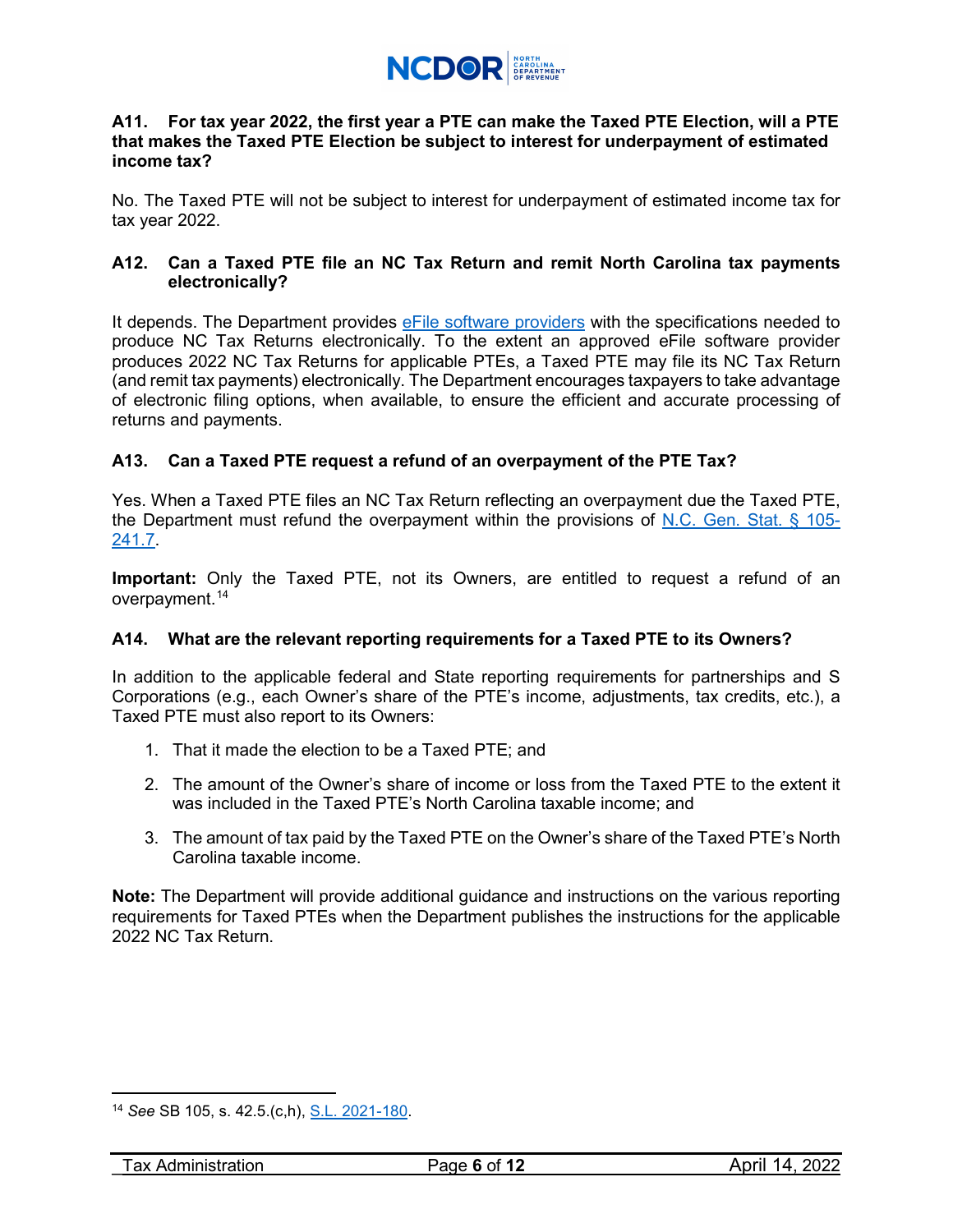

#### <span id="page-5-0"></span>**A11. For tax year 2022, the first year a PTE can make the Taxed PTE Election, will a PTE that makes the Taxed PTE Election be subject to interest for underpayment of estimated income tax?**

No. The Taxed PTE will not be subject to interest for underpayment of estimated income tax for tax year 2022.

## <span id="page-5-1"></span>**A12. Can a Taxed PTE file an NC Tax Return and remit North Carolina tax payments electronically?**

It depends. The Department provides [eFile software providers](https://www.ncdor.gov/file-pay/efile-individuals/efile-resources-individual) with the specifications needed to produce NC Tax Returns electronically. To the extent an approved eFile software provider produces 2022 NC Tax Returns for applicable PTEs, a Taxed PTE may file its NC Tax Return (and remit tax payments) electronically. The Department encourages taxpayers to take advantage of electronic filing options, when available, to ensure the efficient and accurate processing of returns and payments.

## <span id="page-5-2"></span>**A13. Can a Taxed PTE request a refund of an overpayment of the PTE Tax?**

Yes. When a Taxed PTE files an NC Tax Return reflecting an overpayment due the Taxed PTE, the Department must refund the overpayment within the provisions of [N.C. Gen. Stat. § 105-](https://www.ncleg.gov/EnactedLegislation/Statutes/HTML/BySection/Chapter_105/GS_105-241.7.html) [241.7.](https://www.ncleg.gov/EnactedLegislation/Statutes/HTML/BySection/Chapter_105/GS_105-241.7.html)

**Important:** Only the Taxed PTE, not its Owners, are entitled to request a refund of an overpayment. [14](#page-5-4)

## <span id="page-5-3"></span>**A14. What are the relevant reporting requirements for a Taxed PTE to its Owners?**

In addition to the applicable federal and State reporting requirements for partnerships and S Corporations (e.g., each Owner's share of the PTE's income, adjustments, tax credits, etc.), a Taxed PTE must also report to its Owners:

- 1. That it made the election to be a Taxed PTE; and
- 2. The amount of the Owner's share of income or loss from the Taxed PTE to the extent it was included in the Taxed PTE's North Carolina taxable income; and
- 3. The amount of tax paid by the Taxed PTE on the Owner's share of the Taxed PTE's North Carolina taxable income.

**Note:** The Department will provide additional guidance and instructions on the various reporting requirements for Taxed PTEs when the Department publishes the instructions for the applicable 2022 NC Tax Return.

<span id="page-5-4"></span> $\overline{a}$ <sup>14</sup> *See* SB 105, s. 42.5.(c,h), [S.L. 2021-180.](https://www.ncleg.gov/Sessions/2021/Bills/Senate/PDF/S105v8.pdf)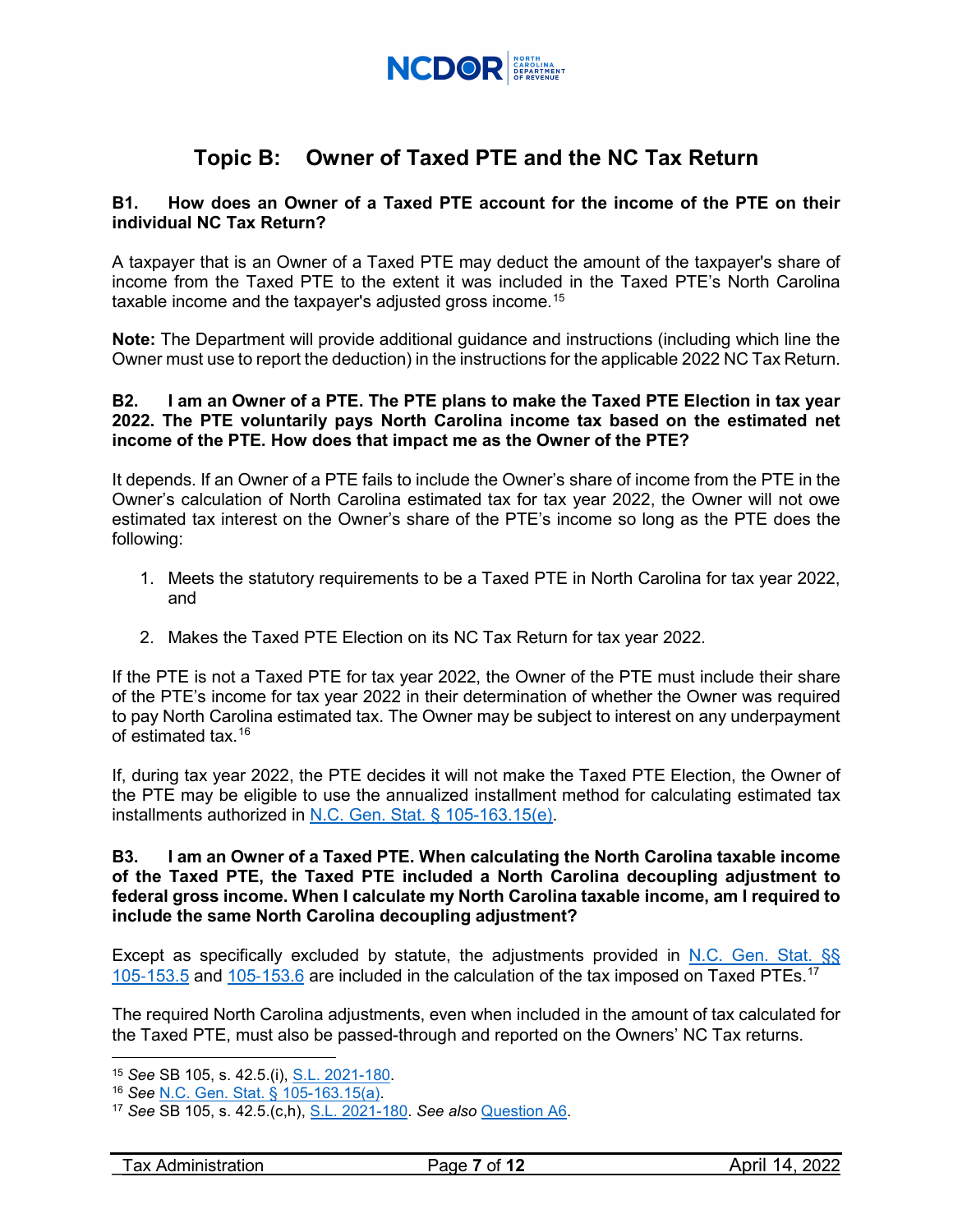

# **Topic B: Owner of Taxed PTE and the NC Tax Return**

#### <span id="page-6-0"></span>**B1. How does an Owner of a Taxed PTE account for the income of the PTE on their individual NC Tax Return?**

A taxpayer that is an Owner of a Taxed PTE may deduct the amount of the taxpayer's share of income from the Taxed PTE to the extent it was included in the Taxed PTE's North Carolina taxable income and the taxpayer's adjusted gross income.<sup>[15](#page-6-3)</sup>

**Note:** The Department will provide additional guidance and instructions (including which line the Owner must use to report the deduction) in the instructions for the applicable 2022 NC Tax Return.

#### <span id="page-6-1"></span>**B2. I am an Owner of a PTE. The PTE plans to make the Taxed PTE Election in tax year 2022. The PTE voluntarily pays North Carolina income tax based on the estimated net income of the PTE. How does that impact me as the Owner of the PTE?**

It depends. If an Owner of a PTE fails to include the Owner's share of income from the PTE in the Owner's calculation of North Carolina estimated tax for tax year 2022, the Owner will not owe estimated tax interest on the Owner's share of the PTE's income so long as the PTE does the following:

- 1. Meets the statutory requirements to be a Taxed PTE in North Carolina for tax year 2022, and
- 2. Makes the Taxed PTE Election on its NC Tax Return for tax year 2022.

If the PTE is not a Taxed PTE for tax year 2022, the Owner of the PTE must include their share of the PTE's income for tax year 2022 in their determination of whether the Owner was required to pay North Carolina estimated tax. The Owner may be subject to interest on any underpayment of estimated tax. [16](#page-6-4)

If, during tax year 2022, the PTE decides it will not make the Taxed PTE Election, the Owner of the PTE may be eligible to use the annualized installment method for calculating estimated tax installments authorized in [N.C. Gen. Stat. § 105-163.15\(e\).](https://www.ncleg.gov/EnactedLegislation/Statutes/HTML/BySection/Chapter_105/GS_105-163.15.html)

#### <span id="page-6-2"></span>**B3. I am an Owner of a Taxed PTE. When calculating the North Carolina taxable income of the Taxed PTE, the Taxed PTE included a North Carolina decoupling adjustment to federal gross income. When I calculate my North Carolina taxable income, am I required to include the same North Carolina decoupling adjustment?**

Except as specifically excluded by statute, the adjustments provided in [N.C. Gen. Stat. §§](https://www.ncleg.gov/EnactedLegislation/Statutes/HTML/BySection/Chapter_105/GS_105-153.5.html)  105-[153.5](https://www.ncleg.gov/EnactedLegislation/Statutes/HTML/BySection/Chapter_105/GS_105-153.5.html) and 105-[153.6](https://www.ncleg.gov/EnactedLegislation/Statutes/HTML/BySection/Chapter_105/GS_105-153.6.html) are included in the calculation of the tax imposed on Taxed PTEs.<sup>[17](#page-6-5)</sup>

The required North Carolina adjustments, even when included in the amount of tax calculated for the Taxed PTE, must also be passed-through and reported on the Owners' NC Tax returns.

<span id="page-6-3"></span> $\overline{a}$ <sup>15</sup> *See* SB 105, s. 42.5.(i), [S.L. 2021-180.](https://www.ncleg.gov/Sessions/2021/Bills/Senate/PDF/S105v8.pdf)

<span id="page-6-4"></span><sup>16</sup> *See* [N.C. Gen. Stat. § 105-163.15\(a\).](https://www.ncleg.gov/EnactedLegislation/Statutes/HTML/BySection/Chapter_105/GS_105-163.15.html)

<span id="page-6-5"></span><sup>17</sup> *See* SB 105, s. 42.5.(c,h), S.L. [2021-180.](https://www.ncleg.gov/Sessions/2021/Bills/Senate/PDF/S105v8.pdf) *See also* [Question A6.](#page-3-1)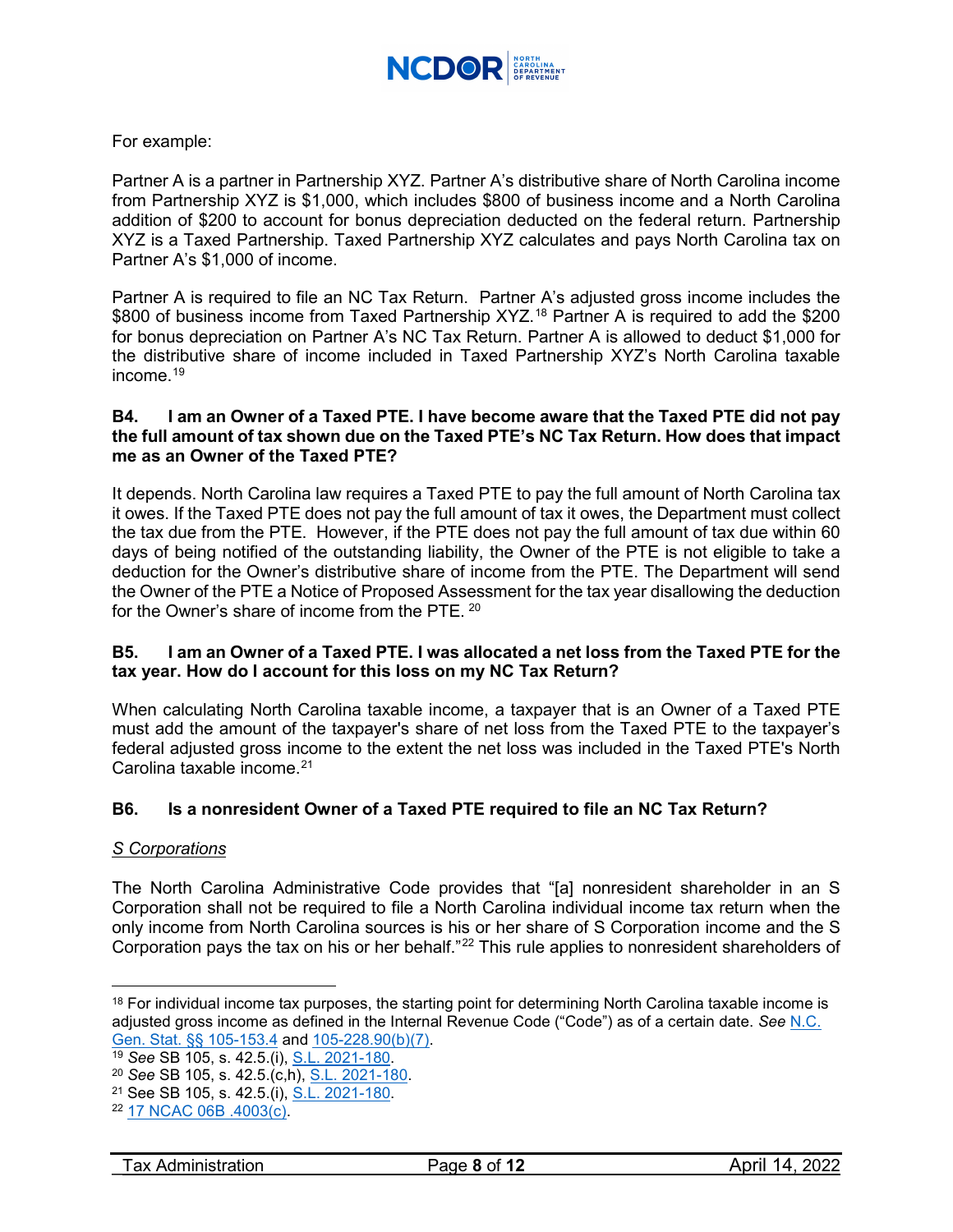

## For example:

Partner A is a partner in Partnership XYZ. Partner A's distributive share of North Carolina income from Partnership XYZ is \$1,000, which includes \$800 of business income and a North Carolina addition of \$200 to account for bonus depreciation deducted on the federal return. Partnership XYZ is a Taxed Partnership. Taxed Partnership XYZ calculates and pays North Carolina tax on Partner A's \$1,000 of income.

Partner A is required to file an NC Tax Return. Partner A's adjusted gross income includes the \$800 of business income from Taxed Partnership XYZ.<sup>[18](#page-7-3)</sup> Partner A is required to add the \$200 for bonus depreciation on Partner A's NC Tax Return. Partner A is allowed to deduct \$1,000 for the distributive share of income included in Taxed Partnership XYZ's North Carolina taxable income. $19$ 

#### <span id="page-7-0"></span>**B4. I am an Owner of a Taxed PTE. I have become aware that the Taxed PTE did not pay the full amount of tax shown due on the Taxed PTE's NC Tax Return. How does that impact me as an Owner of the Taxed PTE?**

It depends. North Carolina law requires a Taxed PTE to pay the full amount of North Carolina tax it owes. If the Taxed PTE does not pay the full amount of tax it owes, the Department must collect the tax due from the PTE. However, if the PTE does not pay the full amount of tax due within 60 days of being notified of the outstanding liability, the Owner of the PTE is not eligible to take a deduction for the Owner's distributive share of income from the PTE. The Department will send the Owner of the PTE a Notice of Proposed Assessment for the tax year disallowing the deduction for the Owner's share of income from the PTE. [20](#page-7-5)

### <span id="page-7-1"></span>**B5. I am an Owner of a Taxed PTE. I was allocated a net loss from the Taxed PTE for the tax year. How do I account for this loss on my NC Tax Return?**

When calculating North Carolina taxable income, a taxpayer that is an Owner of a Taxed PTE must add the amount of the taxpayer's share of net loss from the Taxed PTE to the taxpayer's federal adjusted gross income to the extent the net loss was included in the Taxed PTE's North Carolina taxable income.<sup>[21](#page-7-6)</sup>

## <span id="page-7-2"></span>**B6. Is a nonresident Owner of a Taxed PTE required to file an NC Tax Return?**

#### *S Corporations*

 $\overline{a}$ 

The North Carolina Administrative Code provides that "[a] nonresident shareholder in an S Corporation shall not be required to file a North Carolina individual income tax return when the only income from North Carolina sources is his or her share of S Corporation income and the S Corporation pays the tax on his or her behalf."<sup>[22](#page-7-7)</sup> This rule applies to nonresident shareholders of

<span id="page-7-3"></span><sup>&</sup>lt;sup>18</sup> For individual income tax purposes, the starting point for determining North Carolina taxable income is adjusted gross income as defined in the Internal Revenue Code ("Code") as of a certain date. *See* [N.C.](https://www.ncleg.gov/EnactedLegislation/Statutes/HTML/BySection/Chapter_105/GS_105-153.4.html)  [Gen. Stat. §§ 105-153.4](https://www.ncleg.gov/EnactedLegislation/Statutes/HTML/BySection/Chapter_105/GS_105-153.4.html) and [105-228.90\(b\)\(7\).](https://www.ncleg.gov/EnactedLegislation/Statutes/HTML/BySection/Chapter_105/GS_105-228.90.html)

<span id="page-7-4"></span><sup>19</sup> *See* SB 105, s. 42.5.(i), [S.L. 2021-180.](https://www.ncleg.gov/Sessions/2021/Bills/Senate/PDF/S105v8.pdf)

<span id="page-7-5"></span><sup>20</sup> *See* SB 105, s. 42.5.(c,h), [S.L. 2021-180.](https://www.ncleg.gov/Sessions/2021/Bills/Senate/PDF/S105v8.pdf)

<span id="page-7-6"></span><sup>&</sup>lt;sup>21</sup> See SB 105, s. 42.5.(i), [S.L. 2021-180.](https://www.ncleg.gov/Sessions/2021/Bills/Senate/PDF/S105v8.pdf)

<span id="page-7-7"></span><sup>22</sup> [17 NCAC 06B .4003\(c\).](http://reports.oah.state.nc.us/ncac/title%2017%20-%20revenue/chapter%2006%20-%20individual%20income%20tax/subchapter%20b/17%20ncac%2006b%20.4003.pdf)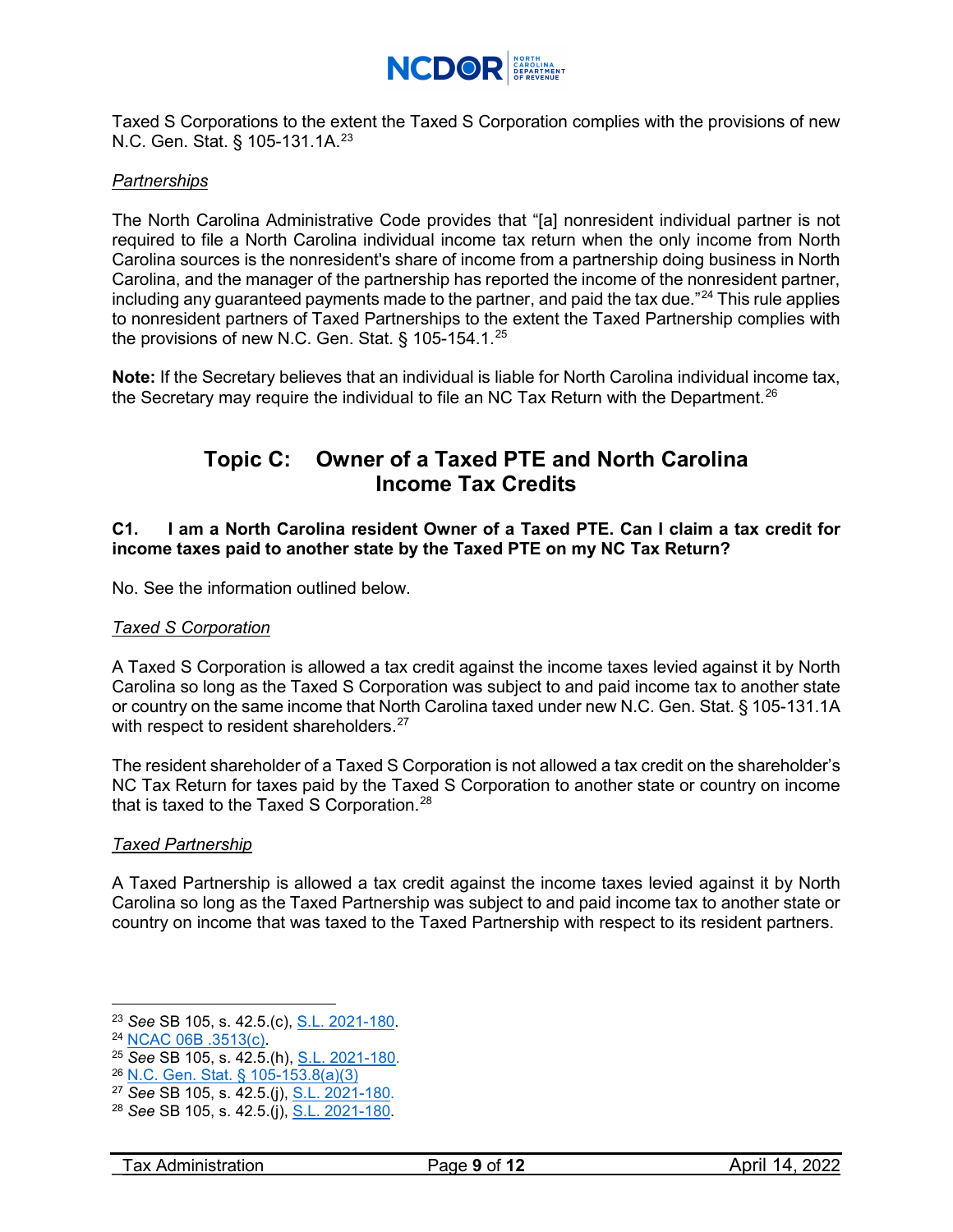

Taxed S Corporations to the extent the Taxed S Corporation complies with the provisions of new N.C. Gen. Stat. § 105-131.1A.<sup>[23](#page-8-1)</sup>

#### *Partnerships*

The North Carolina Administrative Code provides that "[a] nonresident individual partner is not required to file a North Carolina individual income tax return when the only income from North Carolina sources is the nonresident's share of income from a partnership doing business in North Carolina, and the manager of the partnership has reported the income of the nonresident partner, including any guaranteed payments made to the partner, and paid the tax due."[24](#page-8-2) This rule applies to nonresident partners of Taxed Partnerships to the extent the Taxed Partnership complies with the provisions of new N.C. Gen. Stat. § 105-154.1.[25](#page-8-3)

**Note:** If the Secretary believes that an individual is liable for North Carolina individual income tax, the Secretary may require the individual to file an NC Tax Return with the Department.<sup>[26](#page-8-4)</sup>

## **Topic C: Owner of a Taxed PTE and North Carolina Income Tax Credits**

### <span id="page-8-0"></span>**C1. I am a North Carolina resident Owner of a Taxed PTE. Can I claim a tax credit for income taxes paid to another state by the Taxed PTE on my NC Tax Return?**

No. See the information outlined below.

#### *Taxed S Corporation*

A Taxed S Corporation is allowed a tax credit against the income taxes levied against it by North Carolina so long as the Taxed S Corporation was subject to and paid income tax to another state or country on the same income that North Carolina taxed under new N.C. Gen. Stat. § 105-131.1A with respect to resident shareholders.<sup>[27](#page-8-5)</sup>

The resident shareholder of a Taxed S Corporation is not allowed a tax credit on the shareholder's NC Tax Return for taxes paid by the Taxed S Corporation to another state or country on income that is taxed to the Taxed S Corporation.<sup>[28](#page-8-6)</sup>

#### *Taxed Partnership*

A Taxed Partnership is allowed a tax credit against the income taxes levied against it by North Carolina so long as the Taxed Partnership was subject to and paid income tax to another state or country on income that was taxed to the Taxed Partnership with respect to its resident partners.

<span id="page-8-1"></span> $\overline{a}$ <sup>23</sup> *See* SB 105, s. 42.5.(c), [S.L. 2021-180.](https://www.ncleg.gov/Sessions/2021/Bills/Senate/PDF/S105v8.pdf)

<span id="page-8-2"></span><sup>24</sup> [NCAC 06B .3513\(c\).](http://reports.oah.state.nc.us/ncac/title%2017%20-%20revenue/chapter%2006%20-%20individual%20income%20tax/subchapter%20b/17%20ncac%2006b%20.3513.pdf)

<span id="page-8-3"></span><sup>25</sup> *See* SB 105, s. 42.5.(h), [S.L. 2021-180.](https://www.ncleg.gov/Sessions/2021/Bills/Senate/PDF/S105v8.pdf)

<span id="page-8-4"></span><sup>26</sup> [N.C. Gen. Stat. § 105-153.8\(a\)\(3\)](https://www.ncleg.gov/EnactedLegislation/Statutes/HTML/BySection/Chapter_105/GS_105-153.8.html)

<span id="page-8-5"></span><sup>27</sup> *See* SB 105, s. 42.5.(j), [S.L. 2021-180.](https://www.ncleg.gov/Sessions/2021/Bills/Senate/PDF/S105v8.pdf)

<span id="page-8-6"></span><sup>28</sup> *See* SB 105, s. 42.5.(j), [S.L. 2021-180.](https://www.ncleg.gov/Sessions/2021/Bills/Senate/PDF/S105v8.pdf)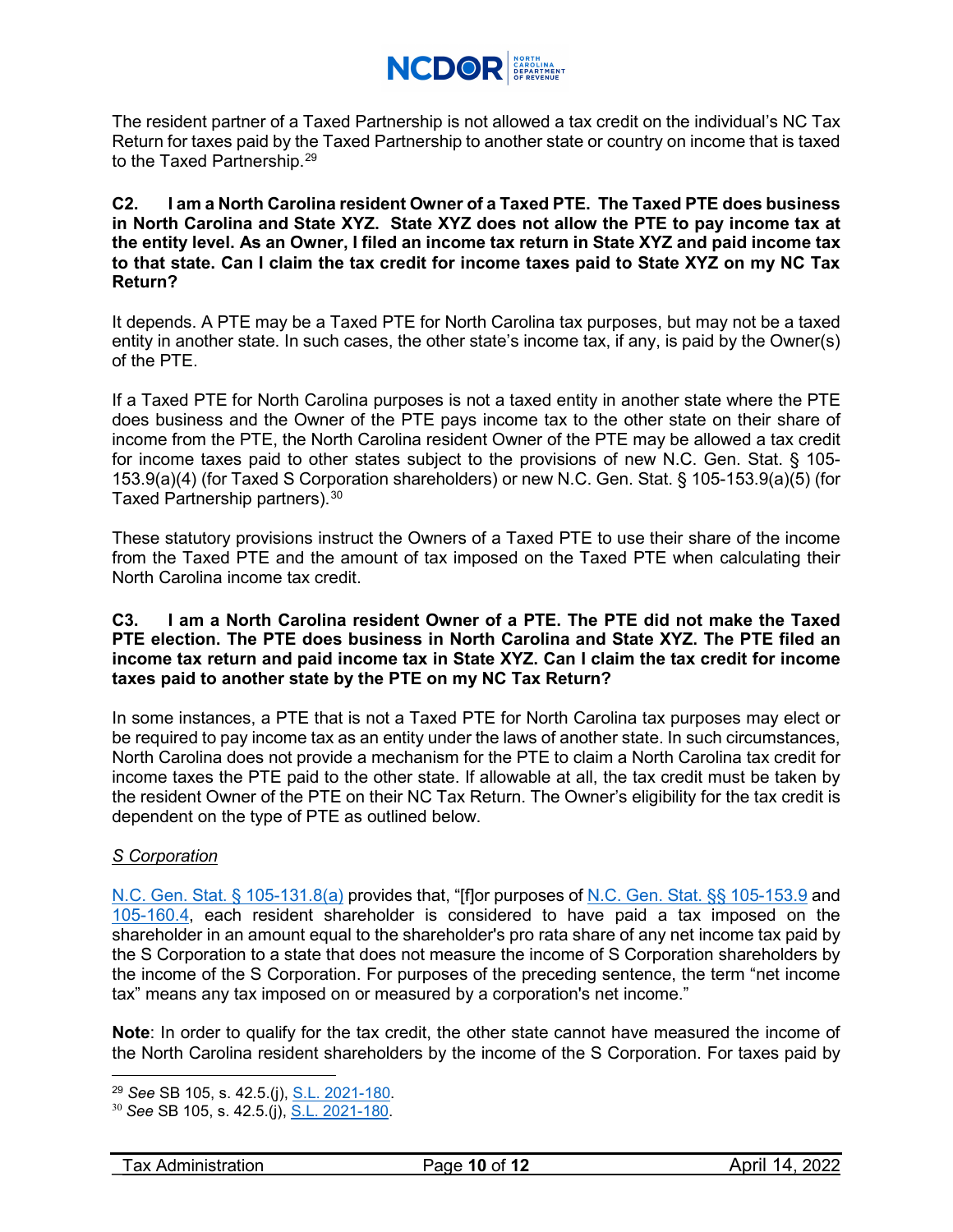

The resident partner of a Taxed Partnership is not allowed a tax credit on the individual's NC Tax Return for taxes paid by the Taxed Partnership to another state or country on income that is taxed to the Taxed Partnership.<sup>[29](#page-9-2)</sup>

#### <span id="page-9-0"></span>**C2. I am a North Carolina resident Owner of a Taxed PTE. The Taxed PTE does business in North Carolina and State XYZ. State XYZ does not allow the PTE to pay income tax at the entity level. As an Owner, I filed an income tax return in State XYZ and paid income tax to that state. Can I claim the tax credit for income taxes paid to State XYZ on my NC Tax Return?**

It depends. A PTE may be a Taxed PTE for North Carolina tax purposes, but may not be a taxed entity in another state. In such cases, the other state's income tax, if any, is paid by the Owner(s) of the PTE.

If a Taxed PTE for North Carolina purposes is not a taxed entity in another state where the PTE does business and the Owner of the PTE pays income tax to the other state on their share of income from the PTE, the North Carolina resident Owner of the PTE may be allowed a tax credit for income taxes paid to other states subject to the provisions of new N.C. Gen. Stat. § 105- 153.9(a)(4) (for Taxed S Corporation shareholders) or new N.C. Gen. Stat. § 105-153.9(a)(5) (for Taxed Partnership partners). $^{\rm 30}$  $^{\rm 30}$  $^{\rm 30}$ 

These statutory provisions instruct the Owners of a Taxed PTE to use their share of the income from the Taxed PTE and the amount of tax imposed on the Taxed PTE when calculating their North Carolina income tax credit.

### <span id="page-9-1"></span>**C3. I am a North Carolina resident Owner of a PTE. The PTE did not make the Taxed PTE election. The PTE does business in North Carolina and State XYZ. The PTE filed an income tax return and paid income tax in State XYZ. Can I claim the tax credit for income taxes paid to another state by the PTE on my NC Tax Return?**

In some instances, a PTE that is not a Taxed PTE for North Carolina tax purposes may elect or be required to pay income tax as an entity under the laws of another state. In such circumstances, North Carolina does not provide a mechanism for the PTE to claim a North Carolina tax credit for income taxes the PTE paid to the other state. If allowable at all, the tax credit must be taken by the resident Owner of the PTE on their NC Tax Return. The Owner's eligibility for the tax credit is dependent on the type of PTE as outlined below.

## *S Corporation*

 $\overline{a}$ 

[N.C. Gen. Stat. § 105-131.8\(a\)](https://www.ncleg.gov/EnactedLegislation/Statutes/HTML/BySection/Chapter_105/GS_105-131.8.html) provides that, "[f]or purposes of [N.C. Gen. Stat. §§ 105-153.9](https://www.ncleg.gov/EnactedLegislation/Statutes/HTML/BySection/Chapter_105/GS_105-153.9.html) and [105-160.4,](https://www.ncleg.gov/EnactedLegislation/Statutes/HTML/BySection/Chapter_105/GS_105-160.4.html) each resident shareholder is considered to have paid a tax imposed on the shareholder in an amount equal to the shareholder's pro rata share of any net income tax paid by the S Corporation to a state that does not measure the income of S Corporation shareholders by the income of the S Corporation. For purposes of the preceding sentence, the term "net income tax" means any tax imposed on or measured by a corporation's net income."

**Note**: In order to qualify for the tax credit, the other state cannot have measured the income of the North Carolina resident shareholders by the income of the S Corporation. For taxes paid by

<sup>29</sup> *See* SB 105, s. 42.5.(j), [S.L. 2021-180.](https://www.ncleg.gov/Sessions/2021/Bills/Senate/PDF/S105v8.pdf)

<span id="page-9-3"></span><span id="page-9-2"></span><sup>30</sup> *See* SB 105, s. 42.5.(j), [S.L. 2021-180.](https://www.ncleg.gov/Sessions/2021/Bills/Senate/PDF/S105v8.pdf)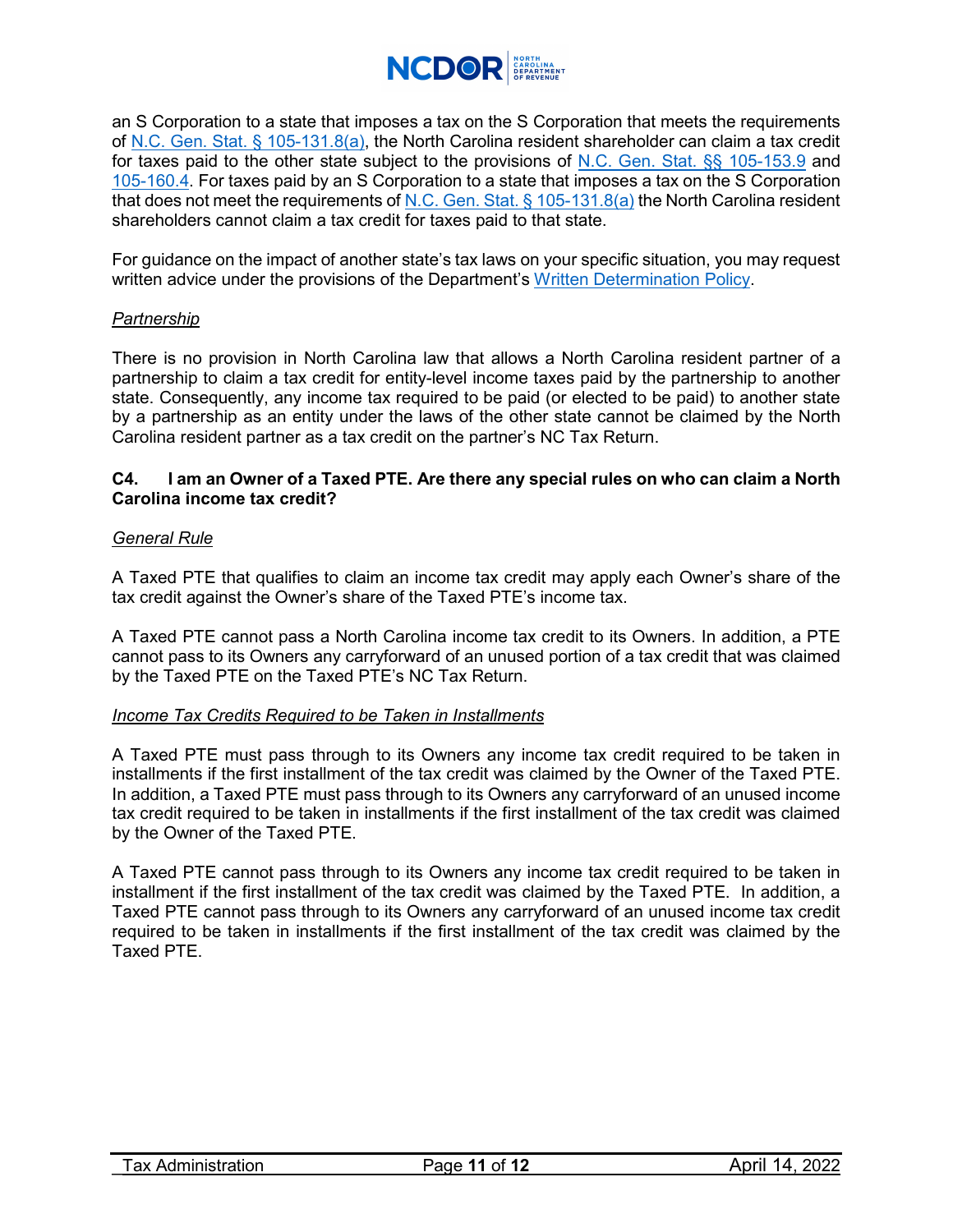

an S Corporation to a state that imposes a tax on the S Corporation that meets the requirements of [N.C. Gen. Stat. § 105-131.8\(a\),](https://www.ncleg.gov/EnactedLegislation/Statutes/HTML/BySection/Chapter_105/GS_105-131.8.html) the North Carolina resident shareholder can claim a tax credit for taxes paid to the other state subject to the provisions of [N.C. Gen. Stat. §§ 105-153.9](https://www.ncleg.gov/EnactedLegislation/Statutes/HTML/BySection/Chapter_105/GS_105-153.9.html) and [105-160.4.](https://www.ncleg.gov/EnactedLegislation/Statutes/HTML/BySection/Chapter_105/GS_105-160.4.html) For taxes paid by an S Corporation to a state that imposes a tax on the S Corporation that does not meet the requirements of [N.C. Gen. Stat. § 105-131.8\(a\)](https://www.ncleg.gov/EnactedLegislation/Statutes/HTML/BySection/Chapter_105/GS_105-131.8.html) the North Carolina resident shareholders cannot claim a tax credit for taxes paid to that state.

For guidance on the impact of another state's tax laws on your specific situation, you may request written advice under the provisions of the Department's [Written Determination Policy.](https://www.ncdor.gov/taxes-forms/corporate-income-franchise-tax/determinations/written-determinations)

#### *Partnership*

There is no provision in North Carolina law that allows a North Carolina resident partner of a partnership to claim a tax credit for entity-level income taxes paid by the partnership to another state. Consequently, any income tax required to be paid (or elected to be paid) to another state by a partnership as an entity under the laws of the other state cannot be claimed by the North Carolina resident partner as a tax credit on the partner's NC Tax Return.

#### <span id="page-10-0"></span>**C4. I am an Owner of a Taxed PTE. Are there any special rules on who can claim a North Carolina income tax credit?**

#### *General Rule*

A Taxed PTE that qualifies to claim an income tax credit may apply each Owner's share of the tax credit against the Owner's share of the Taxed PTE's income tax.

A Taxed PTE cannot pass a North Carolina income tax credit to its Owners. In addition, a PTE cannot pass to its Owners any carryforward of an unused portion of a tax credit that was claimed by the Taxed PTE on the Taxed PTE's NC Tax Return.

#### *Income Tax Credits Required to be Taken in Installments*

A Taxed PTE must pass through to its Owners any income tax credit required to be taken in installments if the first installment of the tax credit was claimed by the Owner of the Taxed PTE. In addition, a Taxed PTE must pass through to its Owners any carryforward of an unused income tax credit required to be taken in installments if the first installment of the tax credit was claimed by the Owner of the Taxed PTE.

A Taxed PTE cannot pass through to its Owners any income tax credit required to be taken in installment if the first installment of the tax credit was claimed by the Taxed PTE. In addition, a Taxed PTE cannot pass through to its Owners any carryforward of an unused income tax credit required to be taken in installments if the first installment of the tax credit was claimed by the Taxed PTE.